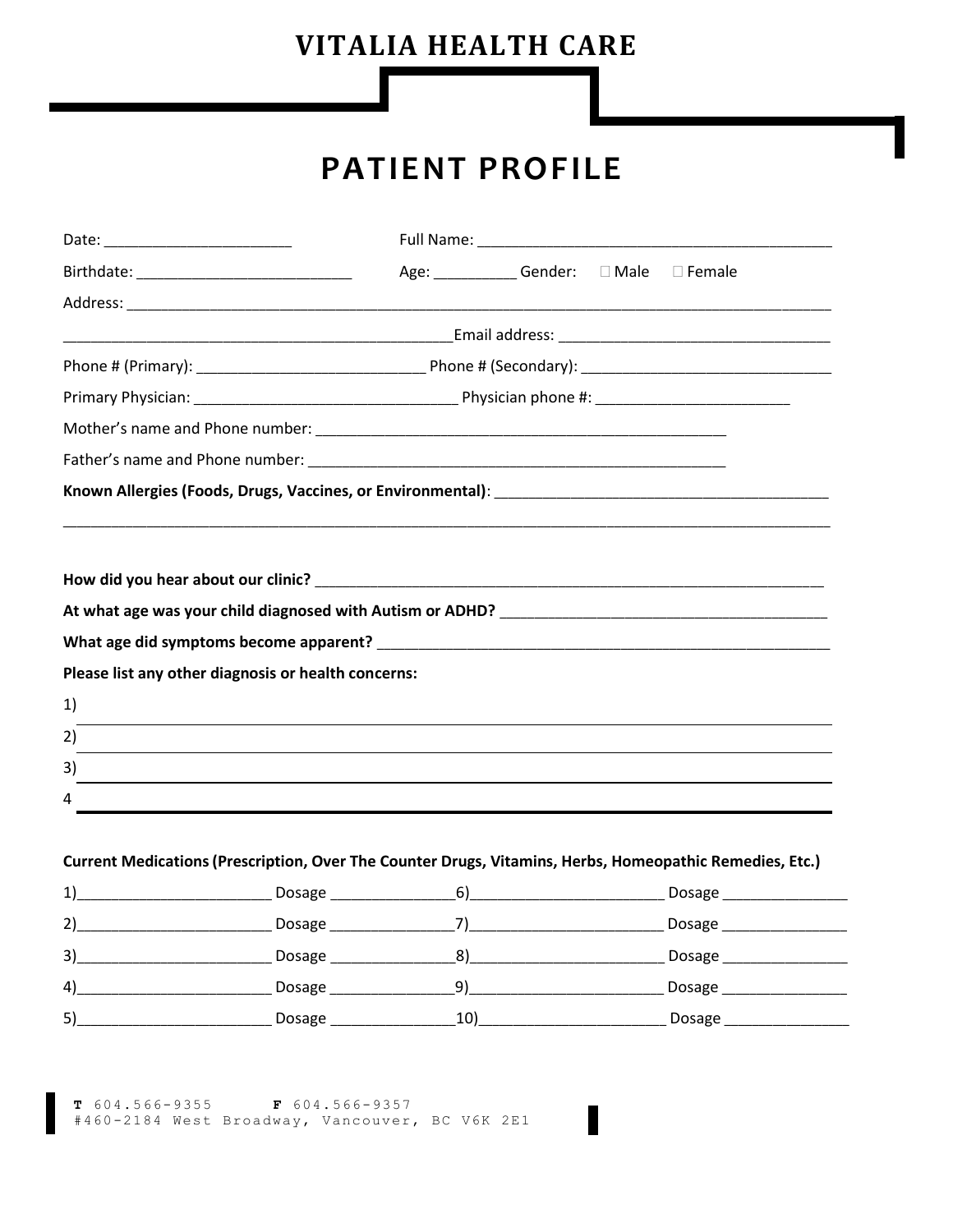# **VITALIA HEALTH CARE**

# **PATIENT PROFILE**

| Birthdate: __________________________________       |  | Age: ____________Gender: □ Male □ Female |                                                                                                         |
|-----------------------------------------------------|--|------------------------------------------|---------------------------------------------------------------------------------------------------------|
|                                                     |  |                                          |                                                                                                         |
|                                                     |  |                                          |                                                                                                         |
|                                                     |  |                                          |                                                                                                         |
|                                                     |  |                                          |                                                                                                         |
|                                                     |  |                                          |                                                                                                         |
|                                                     |  |                                          |                                                                                                         |
|                                                     |  |                                          | Known Allergies (Foods, Drugs, Vaccines, or Environmental):                                             |
|                                                     |  |                                          |                                                                                                         |
|                                                     |  |                                          |                                                                                                         |
|                                                     |  |                                          |                                                                                                         |
| Please list any other diagnosis or health concerns: |  |                                          |                                                                                                         |
| 1)                                                  |  |                                          |                                                                                                         |
| 2)                                                  |  |                                          |                                                                                                         |
| 3)                                                  |  |                                          | ,我们也不会有什么。""我们的人,我们也不会有什么?""我们的人,我们也不会有什么?""我们的人,我们也不会有什么?""我们的人,我们也不会有什么?""我们的人                        |
| 4                                                   |  |                                          |                                                                                                         |
|                                                     |  |                                          | Current Medications (Prescription, Over The Counter Drugs, Vitamins, Herbs, Homeopathic Remedies, Etc.) |
|                                                     |  |                                          |                                                                                                         |
|                                                     |  |                                          |                                                                                                         |
|                                                     |  |                                          |                                                                                                         |
|                                                     |  |                                          |                                                                                                         |
|                                                     |  |                                          |                                                                                                         |

**T**  $604.566 - 9355$  **F**  $604.566 - 9357$ <br>#460-2184 West Broadway, Vancouver, BC V6K 2E1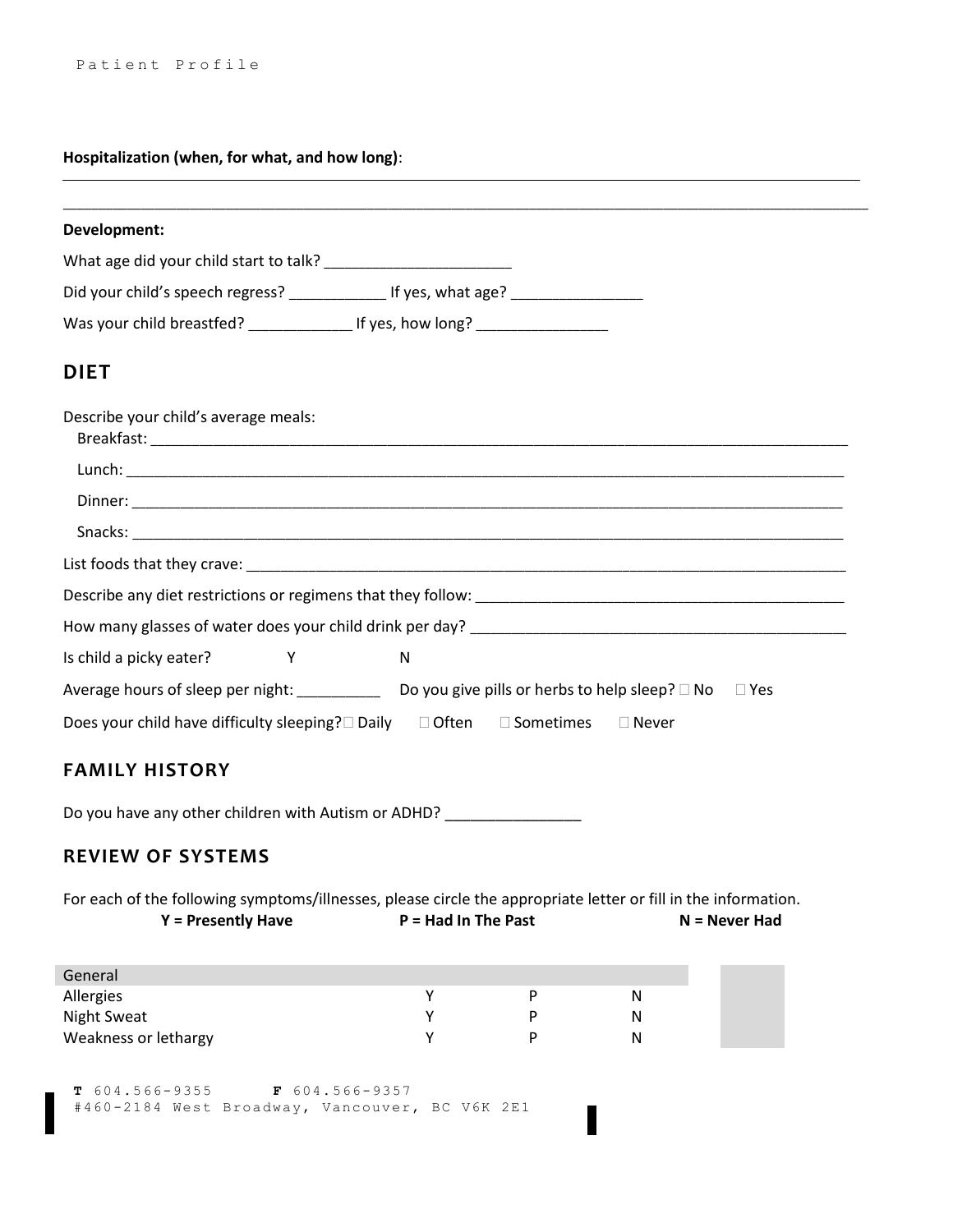#### **Hospitalization (when, for what, and how long)**:

| Development:                         |                                                                                   |
|--------------------------------------|-----------------------------------------------------------------------------------|
|                                      |                                                                                   |
|                                      | Did your child's speech regress? _______________ If yes, what age? ______________ |
|                                      |                                                                                   |
| <b>DIET</b>                          |                                                                                   |
| Describe your child's average meals: |                                                                                   |
|                                      |                                                                                   |
|                                      |                                                                                   |
|                                      |                                                                                   |
|                                      |                                                                                   |
|                                      |                                                                                   |
|                                      |                                                                                   |
| Is child a picky eater? Y            | <sub>N</sub>                                                                      |
|                                      |                                                                                   |
|                                      | Does your child have difficulty sleeping?□ Daily □ Often □ Sometimes □ Never      |
| <b>FAMILY HISTORY</b>                |                                                                                   |

Do you have any other children with Autism or ADHD? \_\_\_\_\_\_\_\_\_\_\_\_\_\_\_\_\_\_\_\_\_\_\_\_\_\_\_\_

#### **REVIEW OF SYSTEMS**

For each of the following symptoms/illnesses, please circle the appropriate letter or fill in the information. **Y = Presently Have P = Had In The Past N = Never Had**

| General              |  |   |
|----------------------|--|---|
| Allergies            |  | N |
| <b>Night Sweat</b>   |  | N |
| Weakness or lethargy |  | N |

**T** 604.566-9355 **F** 604.566-9357 #460-2184 West Broadway, Vancouver, BC V6K 2E1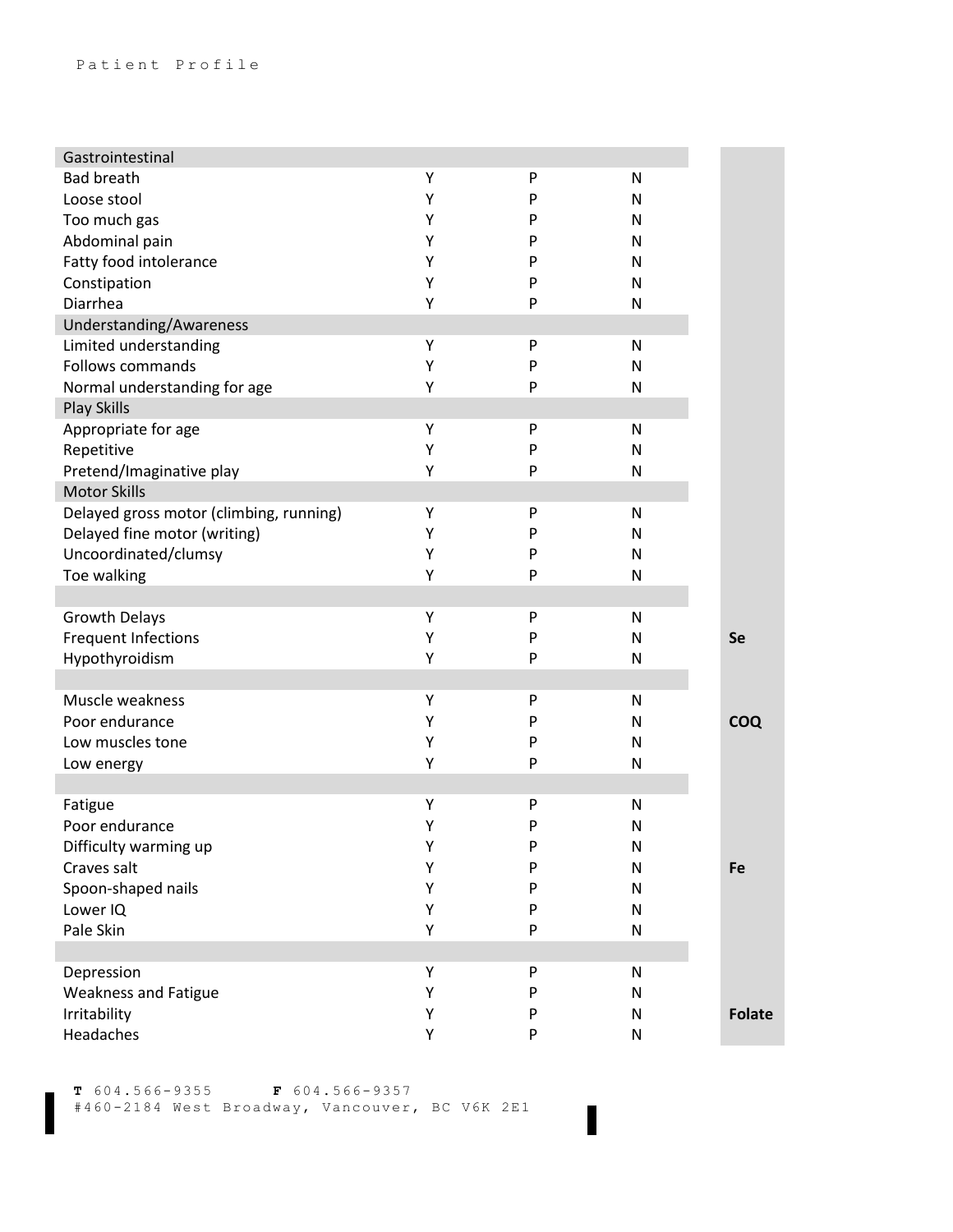| Gastrointestinal                        |   |   |           |               |
|-----------------------------------------|---|---|-----------|---------------|
| <b>Bad breath</b>                       | Υ | P | N         |               |
| Loose stool                             | Υ | P | N         |               |
| Too much gas                            | Υ | P | N         |               |
| Abdominal pain                          | Υ | P | N         |               |
| Fatty food intolerance                  | Υ | P | N         |               |
| Constipation                            | Υ | Ρ | N         |               |
| Diarrhea                                | Υ | P | N         |               |
| Understanding/Awareness                 |   |   |           |               |
| Limited understanding                   | Υ | P | N         |               |
| <b>Follows commands</b>                 | Υ | Ρ | N         |               |
| Normal understanding for age            | Υ | P | N         |               |
| <b>Play Skills</b>                      |   |   |           |               |
| Appropriate for age                     | Υ | P | N         |               |
| Repetitive                              | Υ | Ρ | N         |               |
| Pretend/Imaginative play                | Υ | P | N         |               |
| <b>Motor Skills</b>                     |   |   |           |               |
| Delayed gross motor (climbing, running) | Υ | P | N         |               |
| Delayed fine motor (writing)            | Υ | P | N         |               |
| Uncoordinated/clumsy                    | Υ | P | N         |               |
| Toe walking                             | Υ | P | N         |               |
|                                         |   |   |           |               |
| <b>Growth Delays</b>                    | Υ | P | N         |               |
| <b>Frequent Infections</b>              | Υ | P | N         | <b>Se</b>     |
| Hypothyroidism                          | Υ | P | N         |               |
|                                         |   |   |           |               |
| Muscle weakness                         | Υ | P | N         |               |
| Poor endurance                          | Υ | P | N         | <b>COQ</b>    |
| Low muscles tone                        | Υ | P | N         |               |
| Low energy                              | Υ | P | N         |               |
|                                         |   |   |           |               |
| Fatigue                                 | Υ | P | N         |               |
| Poor endurance                          | Υ | P | N         |               |
| Difficulty warming up                   | Υ | Ρ | N         |               |
| Craves salt                             | Υ | P | N         | Fe            |
| Spoon-shaped nails                      | Υ | P | ${\sf N}$ |               |
| Lower IQ                                | Υ | P | ${\sf N}$ |               |
| Pale Skin                               | Υ | P | ${\sf N}$ |               |
|                                         |   |   |           |               |
| Depression                              | Υ | P | ${\sf N}$ |               |
| <b>Weakness and Fatigue</b>             | Υ | P | ${\sf N}$ |               |
| Irritability                            | Υ | P | ${\sf N}$ | <b>Folate</b> |
| Headaches                               | Υ | P | ${\sf N}$ |               |

 $\blacksquare$ 

**T** 604.566-9355 **F** 604.566-9357

#460-2184 West Broadway, Vancouver, BC V6K 2E1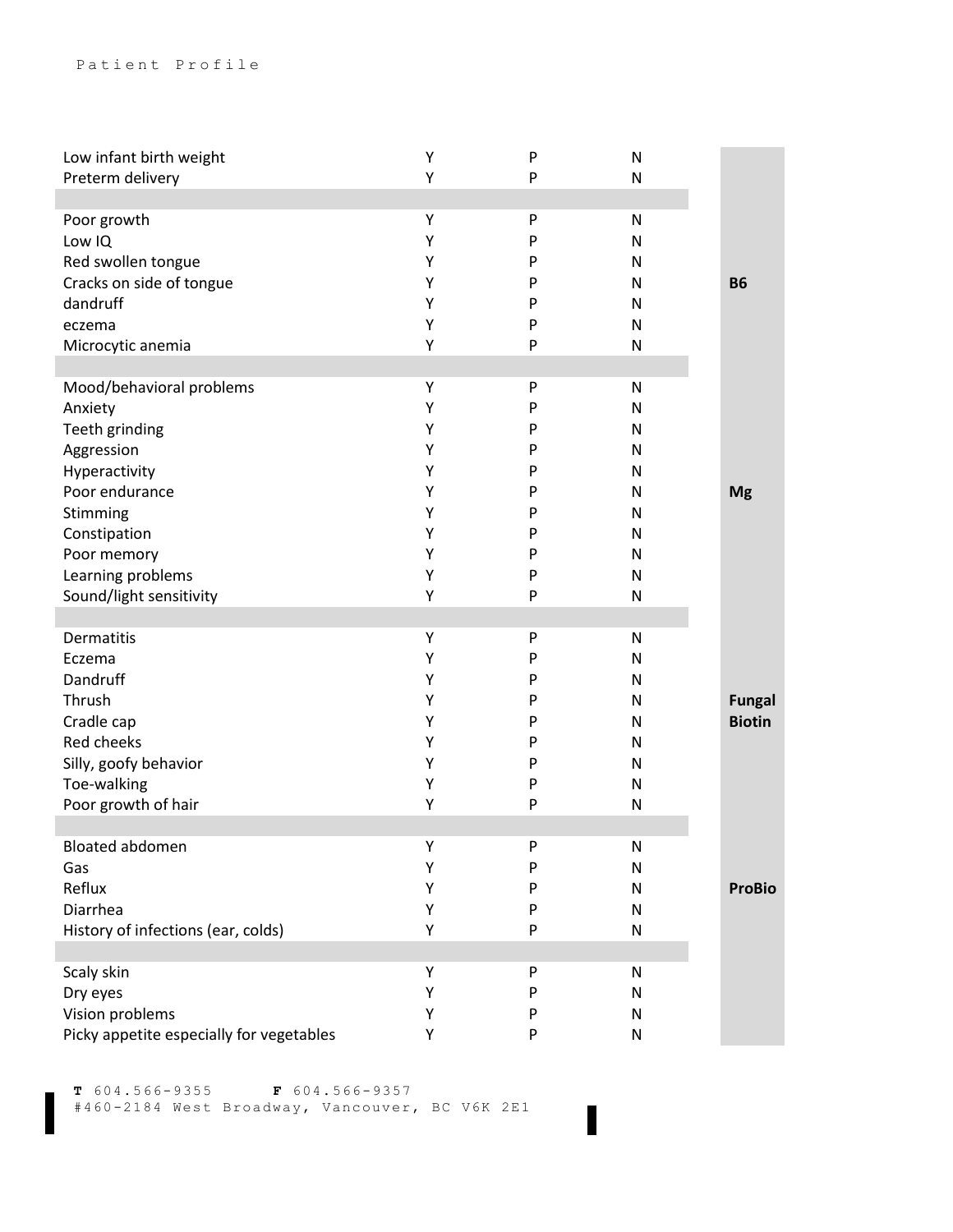| Low infant birth weight                  | Υ | P | N |               |
|------------------------------------------|---|---|---|---------------|
| Preterm delivery                         | Υ | P | N |               |
|                                          |   |   |   |               |
| Poor growth                              | Υ | P | N |               |
| Low IQ                                   | Υ | P | Ν |               |
|                                          |   |   |   |               |
| Red swollen tongue                       | Υ | P | N |               |
| Cracks on side of tongue                 | Υ | P | Ν | <b>B6</b>     |
| dandruff                                 | Υ | P | N |               |
| eczema                                   | Υ | P | N |               |
| Microcytic anemia                        | Υ | P | N |               |
|                                          |   |   |   |               |
| Mood/behavioral problems                 | Υ | P | N |               |
| Anxiety                                  | Υ | P | N |               |
| Teeth grinding                           | Υ | P | Ν |               |
| Aggression                               | Υ | P | N |               |
|                                          |   |   |   |               |
| Hyperactivity                            | Υ | P | N |               |
| Poor endurance                           | Υ | P | N | <b>Mg</b>     |
| Stimming                                 | Υ | P | N |               |
| Constipation                             | Υ | P | N |               |
| Poor memory                              | Υ | P | Ν |               |
| Learning problems                        | Υ | P | N |               |
| Sound/light sensitivity                  | Υ | P | N |               |
|                                          |   |   |   |               |
| <b>Dermatitis</b>                        | Υ | P | N |               |
| Eczema                                   | Υ | P | N |               |
|                                          |   |   |   |               |
| Dandruff                                 | Υ | P | N |               |
| Thrush                                   | Υ | P | N | <b>Fungal</b> |
| Cradle cap                               | Υ | P | N | <b>Biotin</b> |
| Red cheeks                               | Υ | P | N |               |
| Silly, goofy behavior                    | Υ | P | N |               |
| Toe-walking                              | Υ | P | Ν |               |
| Poor growth of hair                      | Υ | P | N |               |
|                                          |   |   |   |               |
| <b>Bloated abdomen</b>                   | Υ | P | N |               |
| Gas                                      | Υ | P | N |               |
| Reflux                                   | Υ | P |   | <b>ProBio</b> |
|                                          |   |   | N |               |
| Diarrhea                                 | Υ | P | N |               |
| History of infections (ear, colds)       | Υ | P | N |               |
|                                          |   |   |   |               |
| Scaly skin                               | Υ | P | N |               |
| Dry eyes                                 | Υ | P | N |               |
| Vision problems                          | Υ | P | N |               |
| Picky appetite especially for vegetables | Υ | P | N |               |
|                                          |   |   |   |               |

**T** 604.566-9355 **F** 604.566-9357 #460-2184 West Broadway, Vancouver, BC V6K 2E1